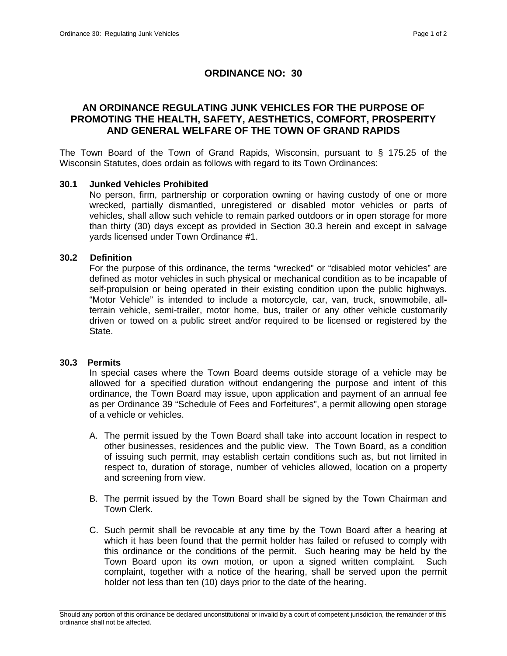# **ORDINANCE NO: 30**

# **AN ORDINANCE REGULATING JUNK VEHICLES FOR THE PURPOSE OF PROMOTING THE HEALTH, SAFETY, AESTHETICS, COMFORT, PROSPERITY AND GENERAL WELFARE OF THE TOWN OF GRAND RAPIDS**

The Town Board of the Town of Grand Rapids, Wisconsin, pursuant to § 175.25 of the Wisconsin Statutes, does ordain as follows with regard to its Town Ordinances:

### **30.1 Junked Vehicles Prohibited**

No person, firm, partnership or corporation owning or having custody of one or more wrecked, partially dismantled, unregistered or disabled motor vehicles or parts of vehicles, shall allow such vehicle to remain parked outdoors or in open storage for more than thirty (30) days except as provided in Section 30.3 herein and except in salvage yards licensed under Town Ordinance #1.

## **30.2 Definition**

 For the purpose of this ordinance, the terms "wrecked" or "disabled motor vehicles" are defined as motor vehicles in such physical or mechanical condition as to be incapable of self-propulsion or being operated in their existing condition upon the public highways. "Motor Vehicle" is intended to include a motorcycle, car, van, truck, snowmobile, allterrain vehicle, semi-trailer, motor home, bus, trailer or any other vehicle customarily driven or towed on a public street and/or required to be licensed or registered by the State.

#### **30.3 Permits**

In special cases where the Town Board deems outside storage of a vehicle may be allowed for a specified duration without endangering the purpose and intent of this ordinance, the Town Board may issue, upon application and payment of an annual fee as per Ordinance 39 "Schedule of Fees and Forfeitures", a permit allowing open storage of a vehicle or vehicles.

- A. The permit issued by the Town Board shall take into account location in respect to other businesses, residences and the public view. The Town Board, as a condition of issuing such permit, may establish certain conditions such as, but not limited in respect to, duration of storage, number of vehicles allowed, location on a property and screening from view.
- B. The permit issued by the Town Board shall be signed by the Town Chairman and Town Clerk.
- C. Such permit shall be revocable at any time by the Town Board after a hearing at which it has been found that the permit holder has failed or refused to comply with this ordinance or the conditions of the permit. Such hearing may be held by the Town Board upon its own motion, or upon a signed written complaint. Such complaint, together with a notice of the hearing, shall be served upon the permit holder not less than ten (10) days prior to the date of the hearing.